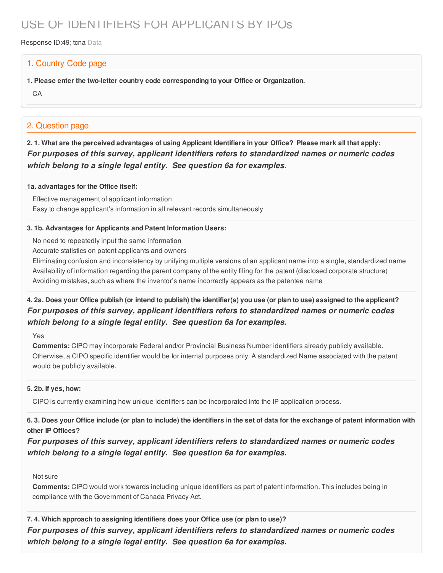# USE OF IDENTIFIERS FOR APPLICANTS BY IPOs

Response ID:49; tcna Data

### 1. Country Code page

**1. Please enter the two-letter country code corresponding to your Office or Organization.**

CA

## 2. Question page

2.1. What are the perceived advantages of using Applicant Identifiers in your Office? Please mark all that apply: *For purposes of this survey, applicant identifiers refers to standardized names or numeric codes which belong to a single legal entity. See question 6a for examples.*

#### **1a. advantages for the Office itself:**

Effective management of applicant information Easy to change applicant's information in all relevant records simultaneously

#### **3. 1b. Advantages for Applicants and Patent Information Users:**

No need to repeatedly input the same information

Accurate statistics on patent applicants and owners

Eliminating confusion and inconsistency by unifying multiple versions of an applicant name into a single, standardized name Availability of information regarding the parent company of the entity filing for the patent (disclosed corporate structure) Avoiding mistakes, such as where the inventor's name incorrectly appears as the patentee name

## 4. 2a. Does your Office publish (or intend to publish) the identifier(s) you use (or plan to use) assigned to the applicant? *For purposes of this survey, applicant identifiers refers to standardized names or numeric codes which belong to a single legal entity. See question 6a for examples.*

Yes

**Comments:** CIPO may incorporate Federal and/or Provincial Business Number identifiers already publicly available. Otherwise, a CIPO specific identifier would be for internal purposes only. A standardized Name associated with the patent would be publicly available.

#### **5. 2b. If yes, how:**

CIPO is currently examining how unique identifiers can be incorporated into the IP application process.

6.3. Does your Office include (or plan to include) the identifiers in the set of data for the exchange of patent information with **other IP Offices?**

*For purposes of this survey, applicant identifiers refers to standardized names or numeric codes which belong to a single legal entity. See question 6a for examples.*

#### Not sure

**Comments:** CIPO would work towards including unique identifiers as part of patent information. This includes being in compliance with the Government of Canada Privacy Act.

**7. 4. Which approach to assigning identifiers does your Office use (or plan to use)?** *For purposes of this survey, applicant identifiers refers to standardized names or numeric codes which belong to a single legal entity. See question 6a for examples.*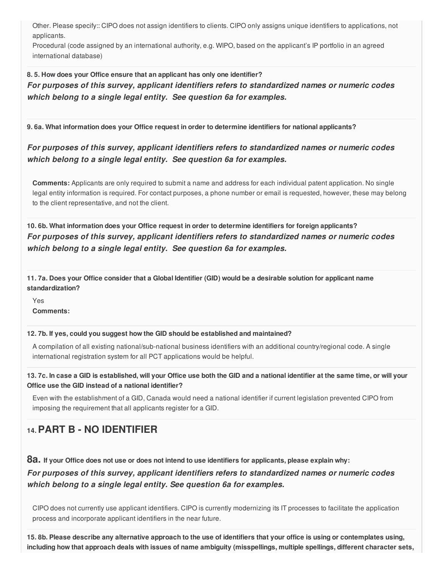Other. Please specify:: CIPO does not assign identifiers to clients. CIPO only assigns unique identifiers to applications, not applicants.

Procedural (code assigned by an international authority, e.g. WIPO, based on the applicant's IP portfolio in an agreed international database)

**8. 5. How does your Office ensure that an applicant has only one identifier?**

*For purposes of this survey, applicant identifiers refers to standardized names or numeric codes which belong to a single legal entity. See question 6a for examples.*

**9. 6a. What information does your Office request in order to determine identifiers for national applicants?**

*For purposes of this survey, applicant identifiers refers to standardized names or numeric codes which belong to a single legal entity. See question 6a for examples.*

**Comments:** Applicants are only required to submit a name and address for each individual patent application. No single legal entity information is required. For contact purposes, a phone number or email is requested, however, these may belong to the client representative, and not the client.

**10. 6b. What information does your Office request in order to determine identifiers for foreign applicants?** *For purposes of this survey, applicant identifiers refers to standardized names or numeric codes which belong to a single legal entity. See question 6a for examples.*

11.7a. Does your Office consider that a Global Identifier (GID) would be a desirable solution for applicant name **standardization?**

Yes **Comments:**

**12. 7b. If yes, could you suggest how the GID should be established and maintained?**

A compilation of all existing national/sub-national business identifiers with an additional country/regional code. A single international registration system for all PCT applications would be helpful.

13.7c. In case a GID is established, will your Office use both the GID and a national identifier at the same time, or will your **Office use the GID instead of a national identifier?**

Even with the establishment of a GID, Canada would need a national identifier if current legislation prevented CIPO from imposing the requirement that all applicants register for a GID.

## **14.PART B - NO IDENTIFIER**

8a. If your Office does not use or does not intend to use identifiers for applicants, please explain why:

*For purposes of this survey, applicant identifiers refers to standardized names or numeric codes which belong to a single legal entity. See question 6a for examples.*

CIPO does not currently use applicant identifiers. CIPO is currently modernizing its IT processes to facilitate the application process and incorporate applicant identifiers in the near future.

15.8b. Please describe any alternative approach to the use of identifiers that your office is using or contemplates using, including how that approach deals with issues of name ambiguity (misspellings, multiple spellings, different character sets,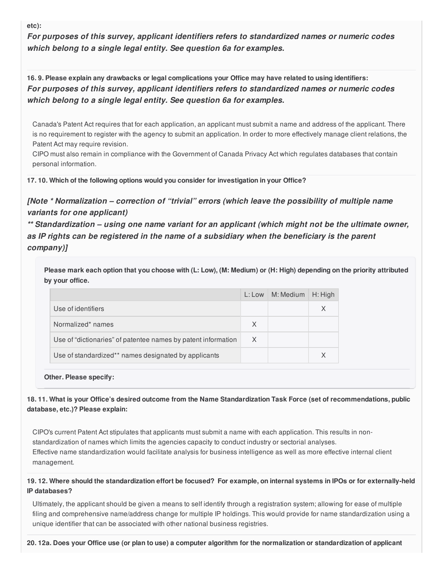**etc):**

*For purposes of this survey, applicant identifiers refers to standardized names or numeric codes which belong to a single legal entity. See question 6a for examples.*

16.9. Please explain any drawbacks or legal complications your Office may have related to using identifiers: *For purposes of this survey, applicant identifiers refers to standardized names or numeric codes which belong to a single legal entity. See question 6a for examples.*

Canada's Patent Act requires that for each application, an applicant must submit a name and address of the applicant. There is no requirement to register with the agency to submit an application. In order to more effectively manage client relations, the Patent Act may require revision.

CIPO must also remain in compliance with the Government of Canada Privacy Act which regulates databases that contain personal information.

**17. 10. Which of the following options would you consider for investigation in your Office?**

*[Note \* Normalization – correction of "trivial" errors (which leave the possibility of multiple name variants for one applicant)*

*\*\* Standardization – using one name variant for an applicant (which might not be the ultimate owner, as IP rights can be registered in the name of a subsidiary when the beneficiary is the parent company)]*

Please mark each option that you choose with (L: Low), (M: Medium) or (H: High) depending on the priority attributed **by your office.**

|                                                               | L: Low | M: Medium | H: High |
|---------------------------------------------------------------|--------|-----------|---------|
| Use of identifiers                                            |        |           |         |
| Normalized* names                                             | X      |           |         |
| Use of "dictionaries" of patentee names by patent information | X      |           |         |
| Use of standardized** names designated by applicants          |        |           |         |

**Other. Please specify:**

18.11. What is your Office's desired outcome from the Name Standardization Task Force (set of recommendations, public **database, etc.)? Please explain:**

CIPO's current Patent Act stipulates that applicants must submit a name with each application. This results in nonstandardization of names which limits the agencies capacity to conduct industry or sectorial analyses. Effective name standardization would facilitate analysis for business intelligence as well as more effective internal client management.

#### 19.12. Where should the standardization effort be focused? For example, on internal systems in IPOs or for externally-held **IP databases?**

Ultimately, the applicant should be given a means to self identify through a registration system; allowing for ease of multiple filing and comprehensive name/address change for multiple IP holdings. This would provide for name standardization using a unique identifier that can be associated with other national business registries.

20.12a. Does your Office use (or plan to use) a computer algorithm for the normalization or standardization of applicant